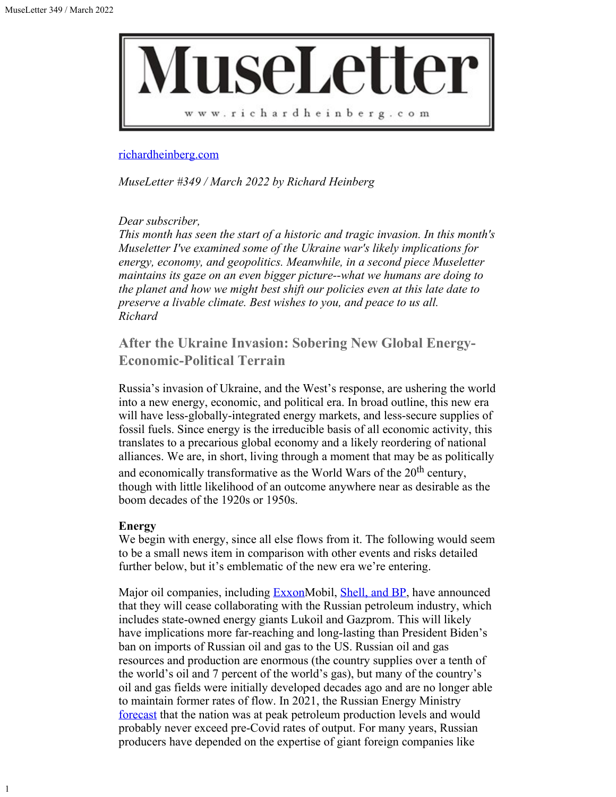

#### [richardheinberg.com](http://richardheinberg.com/)

*MuseLetter #349 / March 2022 by Richard Heinberg*

# *Dear subscriber,*

*This month has seen the start of a historic and tragic invasion. In this month's Museletter I've examined some of the Ukraine war's likely implications for energy, economy, and geopolitics. Meanwhile, in a second piece Museletter maintains its gaze on an even bigger picture--what we humans are doing to the planet and how we might best shift our policies even at this late date to preserve a livable climate. Best wishes to you, and peace to us all. Richard*

# **After the Ukraine Invasion: Sobering New Global Energy-Economic-Political Terrain**

Russia's invasion of Ukraine, and the West's response, are ushering the world into a new energy, economic, and political era. In broad outline, this new era will have less-globally-integrated energy markets, and less-secure supplies of fossil fuels. Since energy is the irreducible basis of all economic activity, this translates to a precarious global economy and a likely reordering of national alliances. We are, in short, living through a moment that may be as politically and economically transformative as the World Wars of the  $20<sup>th</sup>$  century, though with little likelihood of an outcome anywhere near as desirable as the boom decades of the 1920s or 1950s.

## **Energy**

We begin with energy, since all else flows from it. The following would seem to be a small news item in comparison with other events and risks detailed further below, but it's emblematic of the new era we're entering.

Major oil companies, including **Exxon**Mobil, **Shell**, and **BP**, have announced that they will cease collaborating with the Russian petroleum industry, which includes state-owned energy giants Lukoil and Gazprom. This will likely have implications more far-reaching and long-lasting than President Biden's ban on imports of Russian oil and gas to the US. Russian oil and gas resources and production are enormous (the country supplies over a tenth of the world's oil and 7 percent of the world's gas), but many of the country's oil and gas fields were initially developed decades ago and are no longer able to maintain former rates of flow. In 2021, the Russian Energy Ministry [forecast](https://www.themoscowtimes.com/2021/04/12/russia-may-have-passed-peak-oil-output-government-a73558) that the nation was at peak petroleum production levels and would probably never exceed pre-Covid rates of output. For many years, Russian producers have depended on the expertise of giant foreign companies like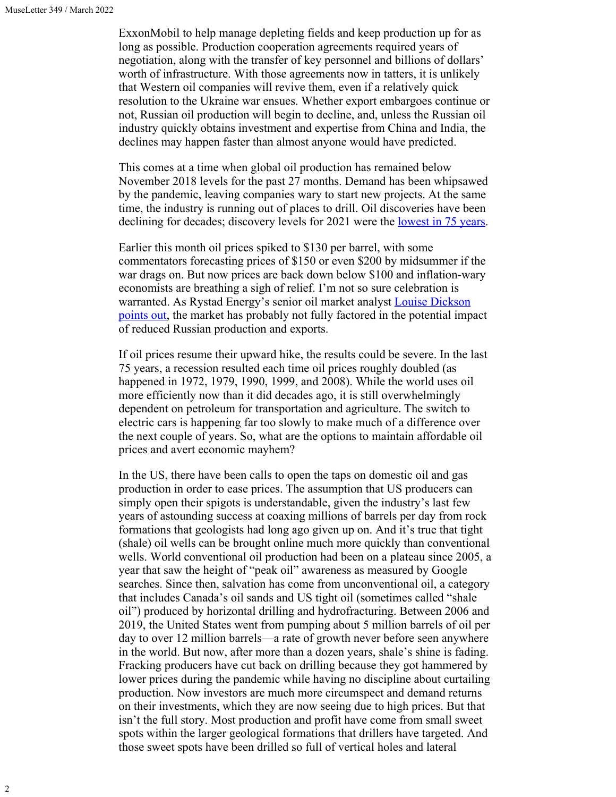ExxonMobil to help manage depleting fields and keep production up for as long as possible. Production cooperation agreements required years of negotiation, along with the transfer of key personnel and billions of dollars' worth of infrastructure. With those agreements now in tatters, it is unlikely that Western oil companies will revive them, even if a relatively quick resolution to the Ukraine war ensues. Whether export embargoes continue or not, Russian oil production will begin to decline, and, unless the Russian oil industry quickly obtains investment and expertise from China and India, the declines may happen faster than almost anyone would have predicted.

This comes at a time when global oil production has remained below November 2018 levels for the past 27 months. Demand has been whipsawed by the pandemic, leaving companies wary to start new projects. At the same time, the industry is running out of places to drill. Oil discoveries have been declining for decades; discovery levels for 2021 were the <u>[lowest in 75 years](https://www.offshore-energy.biz/oil-gas-discoveries-in-2021-to-hit-lowest-level-in-75-years-rystad-says/)</u>.

Earlier this month oil prices spiked to \$130 per barrel, with some commentators forecasting prices of \$150 or even \$200 by midsummer if the war drags on. But now prices are back down below \$100 and inflation-wary economists are breathing a sigh of relief. I'm not so sure celebration is warranted. As Rystad Energy's senior oil market analyst [Louise Dickson](https://www.rigzone.com/news/cheaper_oil_may_be_short_lived-16-mar-2022-168272-article/?mc_cid=8a5db752e5&mc_eid=300d9d9a54) [points out](https://www.rigzone.com/news/cheaper_oil_may_be_short_lived-16-mar-2022-168272-article/?mc_cid=8a5db752e5&mc_eid=300d9d9a54), the market has probably not fully factored in the potential impact of reduced Russian production and exports.

If oil prices resume their upward hike, the results could be severe. In the last 75 years, a recession resulted each time oil prices roughly doubled (as happened in 1972, 1979, 1990, 1999, and 2008). While the world uses oil more efficiently now than it did decades ago, it is still overwhelmingly dependent on petroleum for transportation and agriculture. The switch to electric cars is happening far too slowly to make much of a difference over the next couple of years. So, what are the options to maintain affordable oil prices and avert economic mayhem?

In the US, there have been calls to open the taps on domestic oil and gas production in order to ease prices. The assumption that US producers can simply open their spigots is understandable, given the industry's last few years of astounding success at coaxing millions of barrels per day from rock formations that geologists had long ago given up on. And it's true that tight (shale) oil wells can be brought online much more quickly than conventional wells. World conventional oil production had been on a plateau since 2005, a year that saw the height of "peak oil" awareness as measured by Google searches. Since then, salvation has come from unconventional oil, a category that includes Canada's oil sands and US tight oil (sometimes called "shale oil") produced by horizontal drilling and hydrofracturing. Between 2006 and 2019, the United States went from pumping about 5 million barrels of oil per day to over 12 million barrels—a rate of growth never before seen anywhere in the world. But now, after more than a dozen years, shale's shine is fading. Fracking producers have cut back on drilling because they got hammered by lower prices during the pandemic while having no discipline about curtailing production. Now investors are much more circumspect and demand returns on their investments, which they are now seeing due to high prices. But that isn't the full story. Most production and profit have come from small sweet spots within the larger geological formations that drillers have targeted. And those sweet spots have been drilled so full of vertical holes and lateral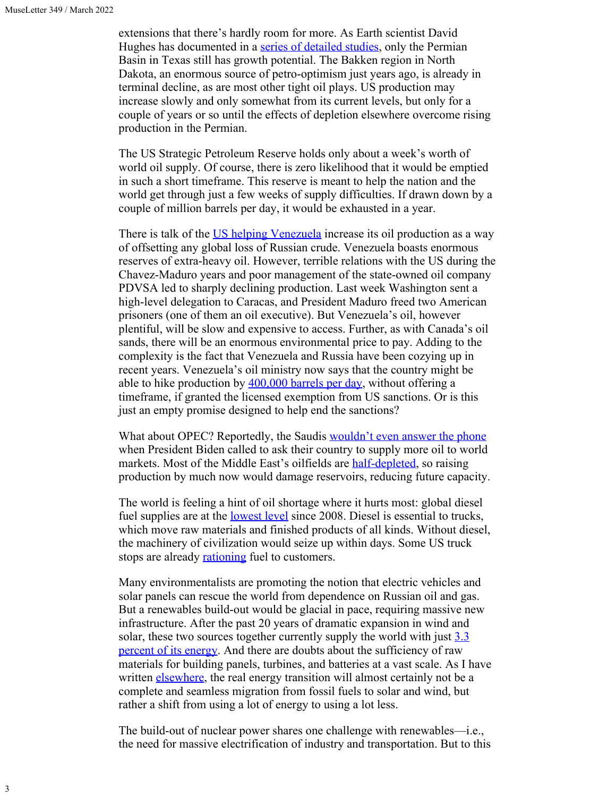extensions that there's hardly room for more. As Earth scientist David Hughes has documented in a [series of detailed studies](https://shalebubble.org/), only the Permian Basin in Texas still has growth potential. The Bakken region in North Dakota, an enormous source of petro-optimism just years ago, is already in terminal decline, as are most other tight oil plays. US production may increase slowly and only somewhat from its current levels, but only for a couple of years or so until the effects of depletion elsewhere overcome rising production in the Permian.

The US Strategic Petroleum Reserve holds only about a week's worth of world oil supply. Of course, there is zero likelihood that it would be emptied in such a short timeframe. This reserve is meant to help the nation and the world get through just a few weeks of supply difficulties. If drawn down by a couple of million barrels per day, it would be exhausted in a year.

There is talk of the [US helping Venezuela](https://www.reuters.com/world/us/exclusive-washington-pins-easing-venezuela-sanctions-direct-oil-supply-us-2022-03-09/) increase its oil production as a way of offsetting any global loss of Russian crude. Venezuela boasts enormous reserves of extra-heavy oil. However, terrible relations with the US during the Chavez-Maduro years and poor management of the state-owned oil company PDVSA led to sharply declining production. Last week Washington sent a high-level delegation to Caracas, and President Maduro freed two American prisoners (one of them an oil executive). But Venezuela's oil, however plentiful, will be slow and expensive to access. Further, as with Canada's oil sands, there will be an enormous environmental price to pay. Adding to the complexity is the fact that Venezuela and Russia have been cozying up in recent years. Venezuela's oil ministry now says that the country might be able to hike production by  $400,000$  barrels per day, without offering a timeframe, if granted the licensed exemption from US sanctions. Or is this just an empty promise designed to help end the sanctions?

What about OPEC? Reportedly, the Saudis [wouldn't even answer the phone](https://www.theguardian.com/us-news/2022/mar/09/saudi-arabia-and-uae-leaders-decline-calls-with-biden-amid-fears-of-oil-price-spike) when President Biden called to ask their country to supply more oil to world markets. Most of the Middle East's oilfields are **half-depleted**, so raising production by much now would damage reservoirs, reducing future capacity.

The world is feeling a hint of oil shortage where it hurts most: global diesel fuel supplies are at the <u>lowest level</u> since 2008. Diesel is essential to trucks, which move raw materials and finished products of all kinds. Without diesel, the machinery of civilization would seize up within days. Some US truck stops are already **rationing** fuel to customers.

Many environmentalists are promoting the notion that electric vehicles and solar panels can rescue the world from dependence on Russian oil and gas. But a renewables build-out would be glacial in pace, requiring massive new infrastructure. After the past 20 years of dramatic expansion in wind and solar, these two sources together currently supply the world with just [3.3](https://ourworldindata.org/energy-mix) [percent of its energy](https://ourworldindata.org/energy-mix). And there are doubts about the sufficiency of raw materials for building panels, turbines, and batteries at a vast scale. As I have written [elsewhere](https://www.resilience.org/stories/2021-11-02/how-much-of-the-worsening-energy-crisis-is-due-to-depletion/), the real energy transition will almost certainly not be a complete and seamless migration from fossil fuels to solar and wind, but rather a shift from using a lot of energy to using a lot less.

The build-out of nuclear power shares one challenge with renewables—i.e., the need for massive electrification of industry and transportation. But to this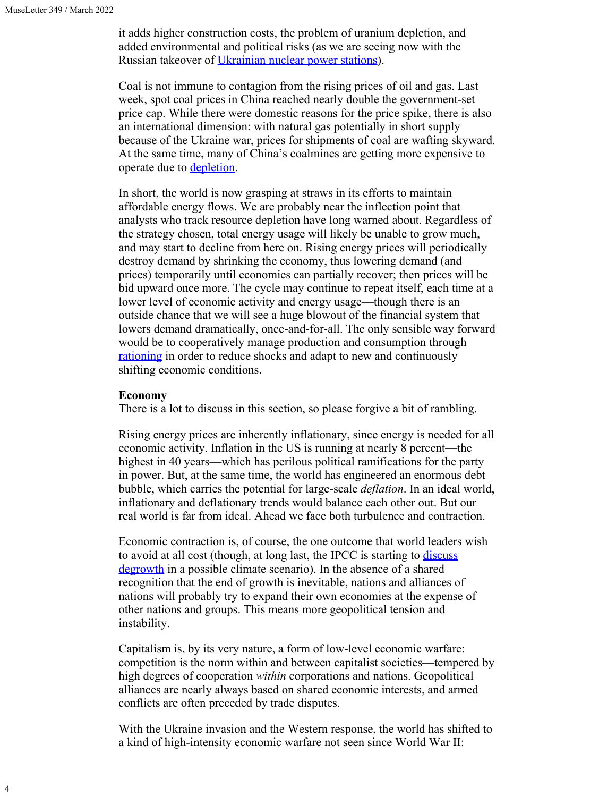4

it adds higher construction costs, the problem of uranium depletion, and added environmental and political risks (as we are seeing now with the Russian takeover of *Ukrainian nuclear power stations*).

Coal is not immune to contagion from the rising prices of oil and gas. Last week, spot coal prices in China reached nearly double the government-set price cap. While there were domestic reasons for the price spike, there is also an international dimension: with natural gas potentially in short supply because of the Ukraine war, prices for shipments of coal are wafting skyward. At the same time, many of China's coalmines are getting more expensive to operate due to **[depletion](https://multimedia.scmp.com/infographics/news/china/article/3009528/shrinking-cities/index.html)**.

In short, the world is now grasping at straws in its efforts to maintain affordable energy flows. We are probably near the inflection point that analysts who track resource depletion have long warned about. Regardless of the strategy chosen, total energy usage will likely be unable to grow much, and may start to decline from here on. Rising energy prices will periodically destroy demand by shrinking the economy, thus lowering demand (and prices) temporarily until economies can partially recover; then prices will be bid upward once more. The cycle may continue to repeat itself, each time at a lower level of economic activity and energy usage—though there is an outside chance that we will see a huge blowout of the financial system that lowers demand dramatically, once-and-for-all. The only sensible way forward would be to cooperatively manage production and consumption through [rationing](https://www.resilience.org/stories/2022-03-15/the-best-climate-policy-youve-probably-never-heard-of/) in order to reduce shocks and adapt to new and continuously shifting economic conditions.

#### **Economy**

There is a lot to discuss in this section, so please forgive a bit of rambling.

Rising energy prices are inherently inflationary, since energy is needed for all economic activity. Inflation in the US is running at nearly 8 percent—the highest in 40 years—which has perilous political ramifications for the party in power. But, at the same time, the world has engineered an enormous debt bubble, which carries the potential for large-scale *deflation*. In an ideal world, inflationary and deflationary trends would balance each other out. But our real world is far from ideal. Ahead we face both turbulence and contraction.

Economic contraction is, of course, the one outcome that world leaders wish to avoid at all cost (though, at long last, the IPCC is starting to *discuss* [degrowth](https://timotheeparrique.com/degrowth-in-the-ipcc-ar6-wgii/) in a possible climate scenario). In the absence of a shared recognition that the end of growth is inevitable, nations and alliances of nations will probably try to expand their own economies at the expense of other nations and groups. This means more geopolitical tension and instability.

Capitalism is, by its very nature, a form of low-level economic warfare: competition is the norm within and between capitalist societies—tempered by high degrees of cooperation *within* corporations and nations. Geopolitical alliances are nearly always based on shared economic interests, and armed conflicts are often preceded by trade disputes.

With the Ukraine invasion and the Western response, the world has shifted to a kind of high-intensity economic warfare not seen since World War II: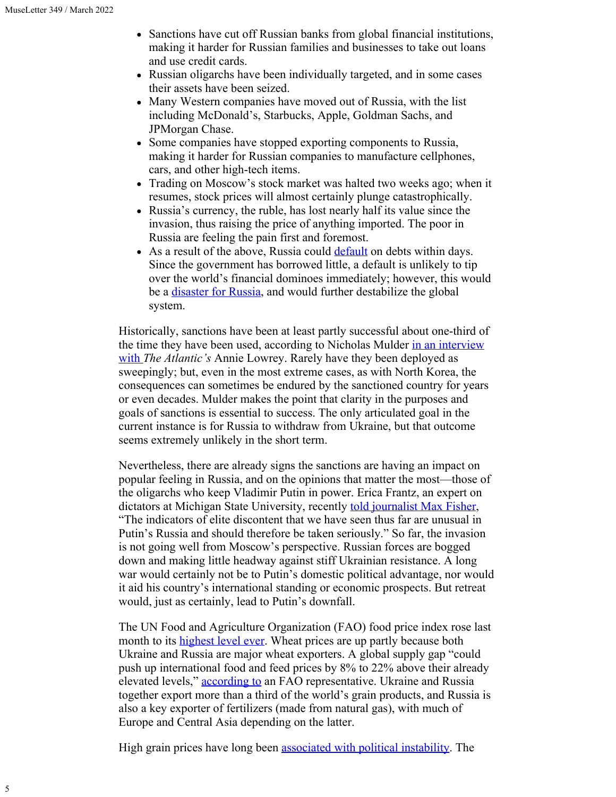5

- Sanctions have cut off Russian banks from global financial institutions, making it harder for Russian families and businesses to take out loans and use credit cards.
- Russian oligarchs have been individually targeted, and in some cases their assets have been seized.
- Many Western companies have moved out of Russia, with the list including McDonald's, Starbucks, Apple, Goldman Sachs, and JPMorgan Chase.
- Some companies have stopped exporting components to Russia, making it harder for Russian companies to manufacture cellphones, cars, and other high-tech items.
- Trading on Moscow's stock market was halted two weeks ago; when it resumes, stock prices will almost certainly plunge catastrophically.
- Russia's currency, the ruble, has lost nearly half its value since the invasion, thus raising the price of anything imported. The poor in Russia are feeling the pain first and foremost.
- As a result of the above, Russia could [default](https://www.cnn.com/2022/03/14/investing/russia-economy-default/index.html) on debts within days. Since the government has borrowed little, a default is unlikely to tip over the world's financial dominoes immediately; however, this would be a [disaster for Russia,](https://www.cnn.com/2022/03/17/economy/russia-default-explained/index.html) and would further destabilize the global system.

Historically, sanctions have been at least partly successful about one-third of the time they have been used, according to Nicholas Mulder [in an interview](https://www.theatlantic.com/ideas/archive/2022/03/russia-sanctions-economic-policy-effects/627009/) [with](https://www.theatlantic.com/ideas/archive/2022/03/russia-sanctions-economic-policy-effects/627009/) *The Atlantic's* Annie Lowrey. Rarely have they been deployed as sweepingly; but, even in the most extreme cases, as with North Korea, the consequences can sometimes be endured by the sanctioned country for years or even decades. Mulder makes the point that clarity in the purposes and goals of sanctions is essential to success. The only articulated goal in the current instance is for Russia to withdraw from Ukraine, but that outcome seems extremely unlikely in the short term.

Nevertheless, there are already signs the sanctions are having an impact on popular feeling in Russia, and on the opinions that matter the most—those of the oligarchs who keep Vladimir Putin in power. Erica Frantz, an expert on dictators at Michigan State University, recently [told journalist Max Fisher](https://nl.nytimes.com/f/newsletter/W-EFnGYnu84yxy6pxaKTxA~~/AAAAAQA~/RgRkDbs2P0TgaHR0cHM6Ly93d3cubnl0aW1lcy5jb20vMjAyMi8wMy8wOS93b3JsZC9ldXJvcGUvcnVzc2lhLXVrcmFpbmUtZWNvbm9teS5odG1sP2NhbXBhaWduX2lkPTkmZW1jPWVkaXRfbm5fMjAyMjAzMTEmaW5zdGFuY2VfaWQ9NTU0NTcmbmw9dGhlLW1vcm5pbmcmcmVnaV9pZD0xMDQwMjk4Nzcmc2VnbWVudF9pZD04NTI1OSZ0ZT0xJnVzZXJfaWQ9Nzk3MjY0Nzc1ODU2Mjk1M2U5MjE3ZTMwMWYzYjI3ODhXA255dEIKYio2NitiTWVpsVIWcmljaGFyZEBwb3N0Y2FyYm9uLm9yZ1gEAAAAAA~~), "The indicators of elite discontent that we have seen thus far are unusual in Putin's Russia and should therefore be taken seriously." So far, the invasion is not going well from Moscow's perspective. Russian forces are bogged down and making little headway against stiff Ukrainian resistance. A long war would certainly not be to Putin's domestic political advantage, nor would it aid his country's international standing or economic prospects. But retreat would, just as certainly, lead to Putin's downfall.

The UN Food and Agriculture Organization (FAO) food price index rose last month to its [highest level ever](https://www.fao.org/worldfoodsituation/foodpricesindex/en/). Wheat prices are up partly because both Ukraine and Russia are major wheat exporters. A global supply gap "could push up international food and feed prices by 8% to 22% above their already elevated levels," [according to](https://www.fao.org/3/cb9013en/cb9013en.pdf) an FAO representative. Ukraine and Russia together export more than a third of the world's grain products, and Russia is also a key exporter of fertilizers (made from natural gas), with much of Europe and Central Asia depending on the latter.

High grain prices have long been **associated with political instability**. The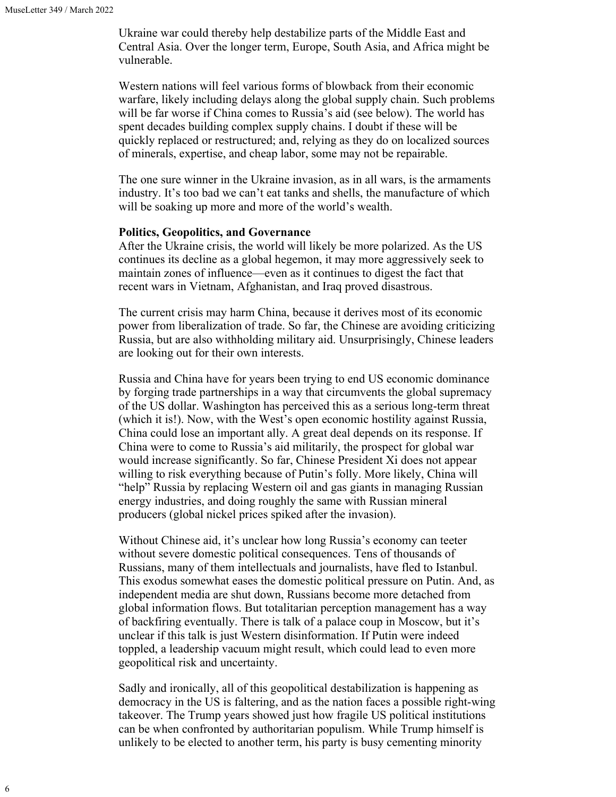Ukraine war could thereby help destabilize parts of the Middle East and Central Asia. Over the longer term, Europe, South Asia, and Africa might be vulnerable.

Western nations will feel various forms of blowback from their economic warfare, likely including delays along the global supply chain. Such problems will be far worse if China comes to Russia's aid (see below). The world has spent decades building complex supply chains. I doubt if these will be quickly replaced or restructured; and, relying as they do on localized sources of minerals, expertise, and cheap labor, some may not be repairable.

The one sure winner in the Ukraine invasion, as in all wars, is the armaments industry. It's too bad we can't eat tanks and shells, the manufacture of which will be soaking up more and more of the world's wealth.

#### **Politics, Geopolitics, and Governance**

After the Ukraine crisis, the world will likely be more polarized. As the US continues its decline as a global hegemon, it may more aggressively seek to maintain zones of influence—even as it continues to digest the fact that recent wars in Vietnam, Afghanistan, and Iraq proved disastrous.

The current crisis may harm China, because it derives most of its economic power from liberalization of trade. So far, the Chinese are avoiding criticizing Russia, but are also withholding military aid. Unsurprisingly, Chinese leaders are looking out for their own interests.

Russia and China have for years been trying to end US economic dominance by forging trade partnerships in a way that circumvents the global supremacy of the US dollar. Washington has perceived this as a serious long-term threat (which it is!). Now, with the West's open economic hostility against Russia, China could lose an important ally. A great deal depends on its response. If China were to come to Russia's aid militarily, the prospect for global war would increase significantly. So far, Chinese President Xi does not appear willing to risk everything because of Putin's folly. More likely, China will "help" Russia by replacing Western oil and gas giants in managing Russian energy industries, and doing roughly the same with Russian mineral producers (global nickel prices spiked after the invasion).

Without Chinese aid, it's unclear how long Russia's economy can teeter without severe domestic political consequences. Tens of thousands of Russians, many of them intellectuals and journalists, have fled to Istanbul. This exodus somewhat eases the domestic political pressure on Putin. And, as independent media are shut down, Russians become more detached from global information flows. But totalitarian perception management has a way of backfiring eventually. There is talk of a palace coup in Moscow, but it's unclear if this talk is just Western disinformation. If Putin were indeed toppled, a leadership vacuum might result, which could lead to even more geopolitical risk and uncertainty.

Sadly and ironically, all of this geopolitical destabilization is happening as democracy in the US is faltering, and as the nation faces a possible right-wing takeover. The Trump years showed just how fragile US political institutions can be when confronted by authoritarian populism. While Trump himself is unlikely to be elected to another term, his party is busy cementing minority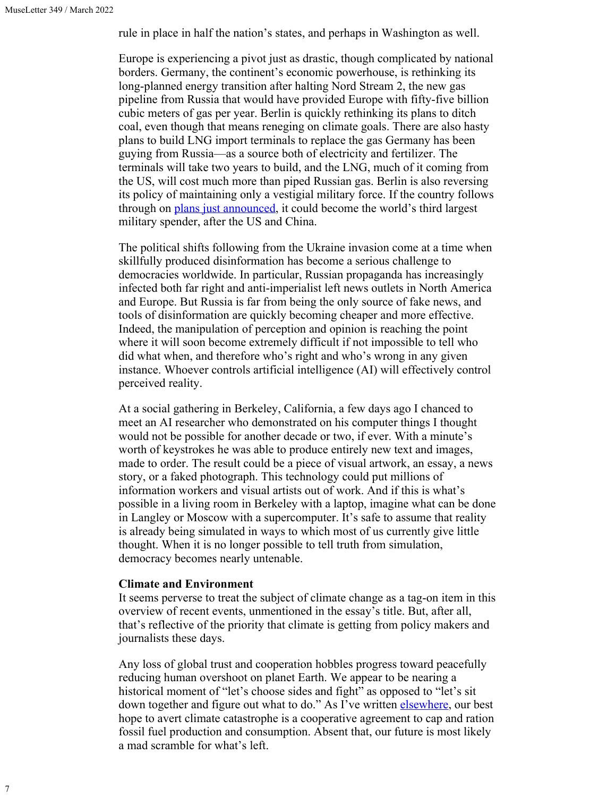rule in place in half the nation's states, and perhaps in Washington as well.

Europe is experiencing a pivot just as drastic, though complicated by national borders. Germany, the continent's economic powerhouse, is rethinking its long-planned energy transition after halting Nord Stream 2, the new gas pipeline from Russia that would have provided Europe with fifty-five billion cubic meters of gas per year. Berlin is quickly rethinking its plans to ditch coal, even though that means reneging on climate goals. There are also hasty plans to build LNG import terminals to replace the gas Germany has been guying from Russia—as a source both of electricity and fertilizer. The terminals will take two years to build, and the LNG, much of it coming from the US, will cost much more than piped Russian gas. Berlin is also reversing its policy of maintaining only a vestigial military force. If the country follows through on [plans just announced,](https://www.dw.com/en/where-is-germanys-military-budget-going/a-61136184) it could become the world's third largest military spender, after the US and China.

The political shifts following from the Ukraine invasion come at a time when skillfully produced disinformation has become a serious challenge to democracies worldwide. In particular, Russian propaganda has increasingly infected both far right and anti-imperialist left news outlets in North America and Europe. But Russia is far from being the only source of fake news, and tools of disinformation are quickly becoming cheaper and more effective. Indeed, the manipulation of perception and opinion is reaching the point where it will soon become extremely difficult if not impossible to tell who did what when, and therefore who's right and who's wrong in any given instance. Whoever controls artificial intelligence (AI) will effectively control perceived reality.

At a social gathering in Berkeley, California, a few days ago I chanced to meet an AI researcher who demonstrated on his computer things I thought would not be possible for another decade or two, if ever. With a minute's worth of keystrokes he was able to produce entirely new text and images, made to order. The result could be a piece of visual artwork, an essay, a news story, or a faked photograph. This technology could put millions of information workers and visual artists out of work. And if this is what's possible in a living room in Berkeley with a laptop, imagine what can be done in Langley or Moscow with a supercomputer. It's safe to assume that reality is already being simulated in ways to which most of us currently give little thought. When it is no longer possible to tell truth from simulation, democracy becomes nearly untenable.

## **Climate and Environment**

It seems perverse to treat the subject of climate change as a tag-on item in this overview of recent events, unmentioned in the essay's title. But, after all, that's reflective of the priority that climate is getting from policy makers and journalists these days.

Any loss of global trust and cooperation hobbles progress toward peacefully reducing human overshoot on planet Earth. We appear to be nearing a historical moment of "let's choose sides and fight" as opposed to "let's sit down together and figure out what to do." As I've written **[elsewhere](https://www.resilience.org/stories/2022-03-15/the-best-climate-policy-youve-probably-never-heard-of/)**, our best hope to avert climate catastrophe is a cooperative agreement to cap and ration fossil fuel production and consumption. Absent that, our future is most likely a mad scramble for what's left.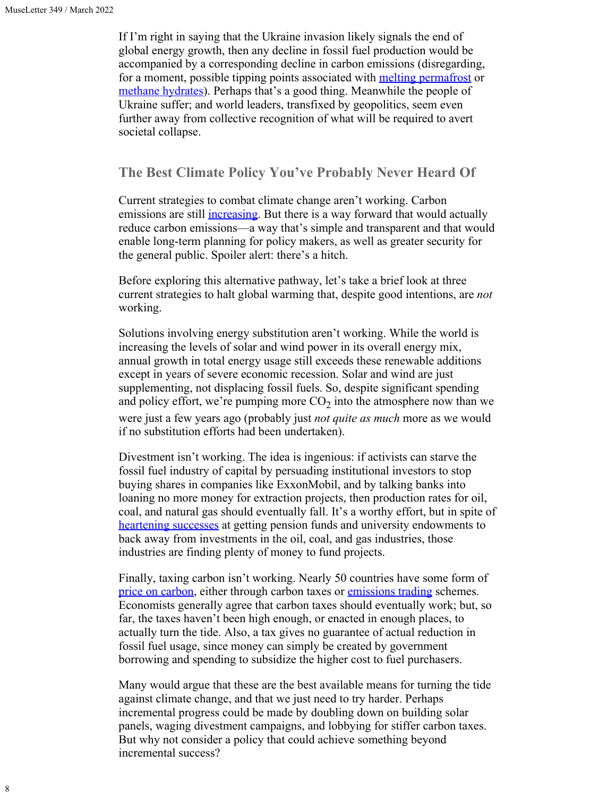If I'm right in saying that the Ukraine invasion likely signals the end of global energy growth, then any decline in fossil fuel production would be accompanied by a corresponding decline in carbon emissions (disregarding, for a moment, possible tipping points associated with [melting permafrost](https://www.sciencedaily.com/releases/2022/03/220314120647.htm) or [methane hydrates](https://eos.org/editors-vox/could-subsea-methane-hydrates-be-a-warming-tipping-point)). Perhaps that's a good thing. Meanwhile the people of Ukraine suffer; and world leaders, transfixed by geopolitics, seem even further away from collective recognition of what will be required to avert societal collapse.

# **The Best Climate Policy You've Probably Never Heard Of**

Current strategies to combat climate change aren't working. Carbon emissions are still *increasing*. But there is a way forward that would actually reduce carbon emissions—a way that's simple and transparent and that would enable long-term planning for policy makers, as well as greater security for the general public. Spoiler alert: there's a hitch.

Before exploring this alternative pathway, let's take a brief look at three current strategies to halt global warming that, despite good intentions, are *not* working.

Solutions involving energy substitution aren't working. While the world is increasing the levels of solar and wind power in its overall energy mix, annual growth in total energy usage still exceeds these renewable additions except in years of severe economic recession. Solar and wind are just supplementing, not displacing fossil fuels. So, despite significant spending and policy effort, we're pumping more  $CO<sub>2</sub>$  into the atmosphere now than we were just a few years ago (probably just *not quite as much* more as we would if no substitution efforts had been undertaken).

Divestment isn't working. The idea is ingenious: if activists can starve the fossil fuel industry of capital by persuading institutional investors to stop buying shares in companies like ExxonMobil, and by talking banks into loaning no more money for extraction projects, then production rates for oil, coal, and natural gas should eventually fall. It's a worthy effort, but in spite of [heartening successes](https://therevelator.org/divestment-big-month/) at getting pension funds and university endowments to back away from investments in the oil, coal, and gas industries, those industries are finding plenty of money to fund projects.

Finally, taxing carbon isn't working. Nearly 50 countries have some form of [price on carbon](https://en.wikipedia.org/wiki/Carbon_price), either through carbon taxes or [emissions trading](https://en.wikipedia.org/wiki/Emissions_trading) schemes. Economists generally agree that carbon taxes should eventually work; but, so far, the taxes haven't been high enough, or enacted in enough places, to actually turn the tide. Also, a tax gives no guarantee of actual reduction in fossil fuel usage, since money can simply be created by government borrowing and spending to subsidize the higher cost to fuel purchasers.

Many would argue that these are the best available means for turning the tide against climate change, and that we just need to try harder. Perhaps incremental progress could be made by doubling down on building solar panels, waging divestment campaigns, and lobbying for stiffer carbon taxes. But why not consider a policy that could achieve something beyond incremental success?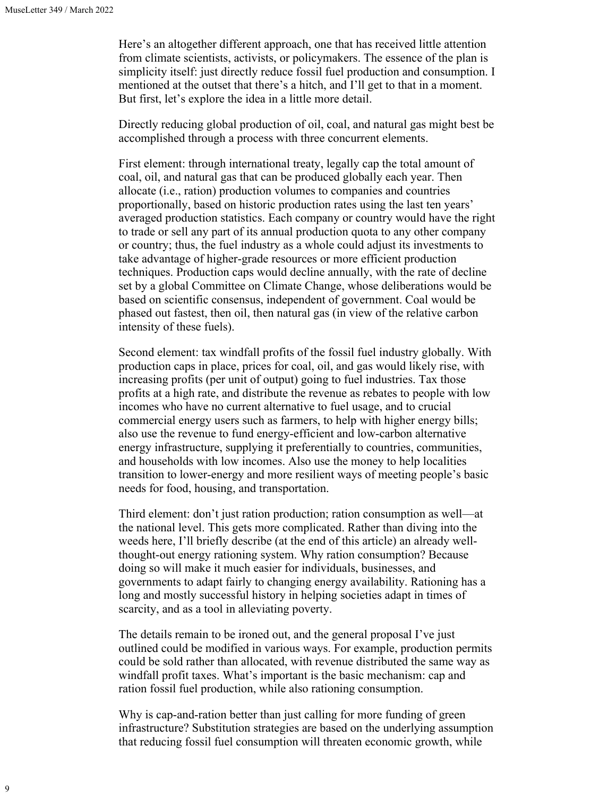Here's an altogether different approach, one that has received little attention from climate scientists, activists, or policymakers. The essence of the plan is simplicity itself: just directly reduce fossil fuel production and consumption. I mentioned at the outset that there's a hitch, and I'll get to that in a moment. But first, let's explore the idea in a little more detail.

Directly reducing global production of oil, coal, and natural gas might best be accomplished through a process with three concurrent elements.

First element: through international treaty, legally cap the total amount of coal, oil, and natural gas that can be produced globally each year. Then allocate (i.e., ration) production volumes to companies and countries proportionally, based on historic production rates using the last ten years' averaged production statistics. Each company or country would have the right to trade or sell any part of its annual production quota to any other company or country; thus, the fuel industry as a whole could adjust its investments to take advantage of higher-grade resources or more efficient production techniques. Production caps would decline annually, with the rate of decline set by a global Committee on Climate Change, whose deliberations would be based on scientific consensus, independent of government. Coal would be phased out fastest, then oil, then natural gas (in view of the relative carbon intensity of these fuels).

Second element: tax windfall profits of the fossil fuel industry globally. With production caps in place, prices for coal, oil, and gas would likely rise, with increasing profits (per unit of output) going to fuel industries. Tax those profits at a high rate, and distribute the revenue as rebates to people with low incomes who have no current alternative to fuel usage, and to crucial commercial energy users such as farmers, to help with higher energy bills; also use the revenue to fund energy-efficient and low-carbon alternative energy infrastructure, supplying it preferentially to countries, communities, and households with low incomes. Also use the money to help localities transition to lower-energy and more resilient ways of meeting people's basic needs for food, housing, and transportation.

Third element: don't just ration production; ration consumption as well—at the national level. This gets more complicated. Rather than diving into the weeds here, I'll briefly describe (at the end of this article) an already wellthought-out energy rationing system. Why ration consumption? Because doing so will make it much easier for individuals, businesses, and governments to adapt fairly to changing energy availability. Rationing has a long and mostly successful history in helping societies adapt in times of scarcity, and as a tool in alleviating poverty.

The details remain to be ironed out, and the general proposal I've just outlined could be modified in various ways. For example, production permits could be sold rather than allocated, with revenue distributed the same way as windfall profit taxes. What's important is the basic mechanism: cap and ration fossil fuel production, while also rationing consumption.

Why is cap-and-ration better than just calling for more funding of green infrastructure? Substitution strategies are based on the underlying assumption that reducing fossil fuel consumption will threaten economic growth, while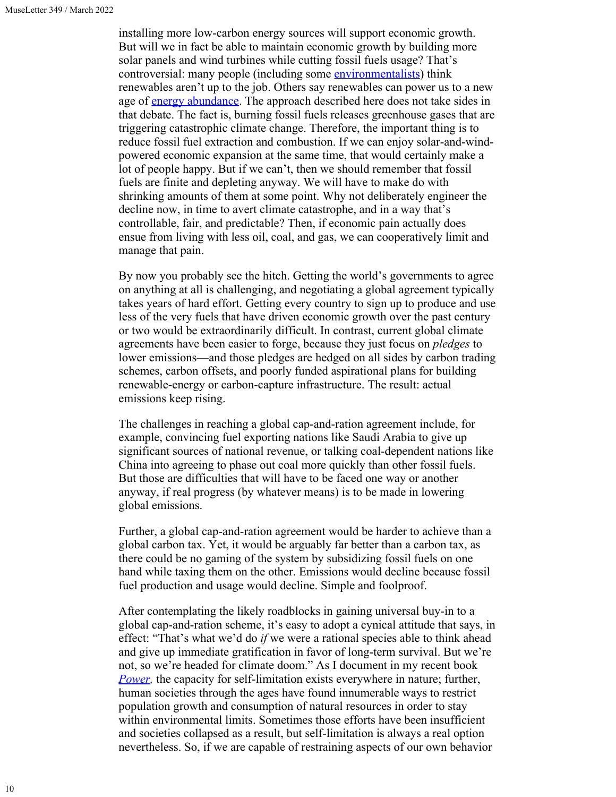installing more low-carbon energy sources will support economic growth. But will we in fact be able to maintain economic growth by building more solar panels and wind turbines while cutting fossil fuels usage? That's controversial: many people (including some [environmentalists](https://www.brightgreenlies.com/)) think renewables aren't up to the job. Others say renewables can power us to a new age of [energy abundance](https://mitpress.mit.edu/books/electrify). The approach described here does not take sides in that debate. The fact is, burning fossil fuels releases greenhouse gases that are triggering catastrophic climate change. Therefore, the important thing is to reduce fossil fuel extraction and combustion. If we can enjoy solar-and-windpowered economic expansion at the same time, that would certainly make a lot of people happy. But if we can't, then we should remember that fossil fuels are finite and depleting anyway. We will have to make do with shrinking amounts of them at some point. Why not deliberately engineer the decline now, in time to avert climate catastrophe, and in a way that's controllable, fair, and predictable? Then, if economic pain actually does ensue from living with less oil, coal, and gas, we can cooperatively limit and manage that pain.

By now you probably see the hitch. Getting the world's governments to agree on anything at all is challenging, and negotiating a global agreement typically takes years of hard effort. Getting every country to sign up to produce and use less of the very fuels that have driven economic growth over the past century or two would be extraordinarily difficult. In contrast, current global climate agreements have been easier to forge, because they just focus on *pledges* to lower emissions—and those pledges are hedged on all sides by carbon trading schemes, carbon offsets, and poorly funded aspirational plans for building renewable-energy or carbon-capture infrastructure. The result: actual emissions keep rising.

The challenges in reaching a global cap-and-ration agreement include, for example, convincing fuel exporting nations like Saudi Arabia to give up significant sources of national revenue, or talking coal-dependent nations like China into agreeing to phase out coal more quickly than other fossil fuels. But those are difficulties that will have to be faced one way or another anyway, if real progress (by whatever means) is to be made in lowering global emissions.

Further, a global cap-and-ration agreement would be harder to achieve than a global carbon tax. Yet, it would be arguably far better than a carbon tax, as there could be no gaming of the system by subsidizing fossil fuels on one hand while taxing them on the other. Emissions would decline because fossil fuel production and usage would decline. Simple and foolproof.

After contemplating the likely roadblocks in gaining universal buy-in to a global cap-and-ration scheme, it's easy to adopt a cynical attitude that says, in effect: "That's what we'd do *if* we were a rational species able to think ahead and give up immediate gratification in favor of long-term survival. But we're not, so we're headed for climate doom." As I document in my recent book *[Power](https://newsociety.com/blogs/news/introduction-to-power-by-richard-heinberg?sitedomain=us&_ga=2.228537179.771246589.1646762922-496298275.1646762922)*, the capacity for self-limitation exists everywhere in nature; further, human societies through the ages have found innumerable ways to restrict population growth and consumption of natural resources in order to stay within environmental limits. Sometimes those efforts have been insufficient and societies collapsed as a result, but self-limitation is always a real option nevertheless. So, if we are capable of restraining aspects of our own behavior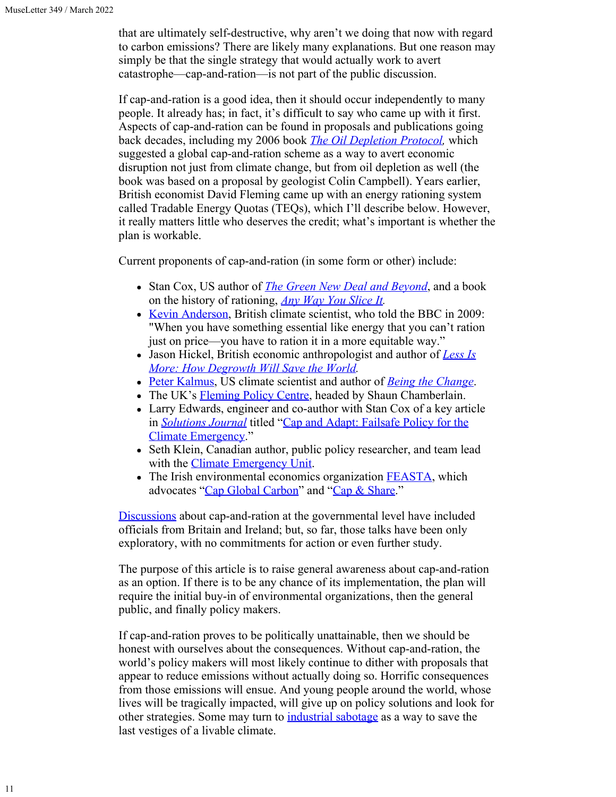that are ultimately self-destructive, why aren't we doing that now with regard to carbon emissions? There are likely many explanations. But one reason may simply be that the single strategy that would actually work to avert catastrophe—cap-and-ration—is not part of the public discussion.

If cap-and-ration is a good idea, then it should occur independently to many people. It already has; in fact, it's difficult to say who came up with it first. Aspects of cap-and-ration can be found in proposals and publications going back decades, including my 2006 book *[The Oil Depletion Protocol](https://richardheinberg.com/odp),* which suggested a global cap-and-ration scheme as a way to avert economic disruption not just from climate change, but from oil depletion as well (the book was based on a proposal by geologist Colin Campbell). Years earlier, British economist David Fleming came up with an energy rationing system called Tradable Energy Quotas (TEQs), which I'll describe below. However, it really matters little who deserves the credit; what's important is whether the plan is workable.

Current proponents of cap-and-ration (in some form or other) include:

- Stan Cox, US author of *[The Green New Deal and Beyond](https://citylights.com/open-media-series/green-new-deal-beyond/)*, and a book on the history of rationing, *[Any Way You Slice It](https://thenewpress.com/books/any-way-you-slice-it).*
- [Kevin Anderson,](http://kevinanderson.info/blog/home-2/) British climate scientist, who told the BBC in 2009: "When you have something essential like energy that you can't ration just on price—you have to ration it in a more equitable way."
- Jason Hickel, British economic anthropologist and author of *[Less Is](https://www.resilience.org/stories/2020-10-05/less-is-more-how-degrowth-will-save-the-world-by-jason-hickel/) [More: How Degrowth Will Save the World.](https://www.resilience.org/stories/2020-10-05/less-is-more-how-degrowth-will-save-the-world-by-jason-hickel/)*
- [Peter Kalmus,](https://peterkalmus.net/) US climate scientist and author of *[Being the Change](https://peterkalmus.net/books/)*.
- The UK's [Fleming Policy Centre](https://www.flemingpolicycentre.org.uk/), headed by Shaun Chamberlain.
- Larry Edwards, engineer and co-author with Stan Cox of a key article in *[Solutions Journal](https://thesolutionsjournal.com/category/feature/)* titled ["Cap and Adapt: Failsafe Policy for the](https://thesolutionsjournal.com/2020/09/01/cap-and-adapt-failsafe-policy-for-the-climate-emergency/) [Climate Emergency](https://thesolutionsjournal.com/2020/09/01/cap-and-adapt-failsafe-policy-for-the-climate-emergency/)."
- Seth Klein, Canadian author, public policy researcher, and team lead with the *Climate Emergency Unit.*
- The Irish environmental economics organization [FEASTA](https://www.feasta.org/), which advocates "[Cap Global Carbon"](https://capglobalcarbon.org/) and ["Cap & Share](https://www.youtube.com/watch?v=wKDSOuDfuDQ)."

[Discussions](https://www.resilience.org/stories/2022-02-11/four-scientists-a-few-small-nations-and-making-unthinkable-climate-action-possible/) about cap-and-ration at the governmental level have included officials from Britain and Ireland; but, so far, those talks have been only exploratory, with no commitments for action or even further study.

The purpose of this article is to raise general awareness about cap-and-ration as an option. If there is to be any chance of its implementation, the plan will require the initial buy-in of environmental organizations, then the general public, and finally policy makers.

If cap-and-ration proves to be politically unattainable, then we should be honest with ourselves about the consequences. Without cap-and-ration, the world's policy makers will most likely continue to dither with proposals that appear to reduce emissions without actually doing so. Horrific consequences from those emissions will ensue. And young people around the world, whose lives will be tragically impacted, will give up on policy solutions and look for other strategies. Some may turn to *industrial sabotage* as a way to save the last vestiges of a livable climate.